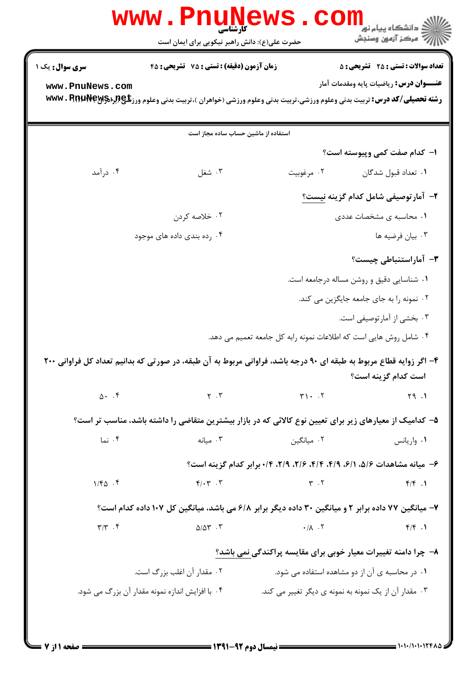|                                  | زمان آزمون (دقیقه) : تستی : 75 تشریحی : 45                                                                                               |                                                                   | <b>تعداد سوالات : تستی : 25 - تشریحی : 5</b>    |
|----------------------------------|------------------------------------------------------------------------------------------------------------------------------------------|-------------------------------------------------------------------|-------------------------------------------------|
| www.PnuNews.com                  |                                                                                                                                          |                                                                   | <b>عنــــوان درس:</b> رياضيات پايه ومقدمات آمار |
|                                  | <b>رشته تحصیلی/کد درس:</b> تربیت بدنی وعلوم ورزشی،تربیت بدنی وعلوم ورزشی (خواهران )،تربیت بدنی وعلوم ورز <b>تلچ(براهک۱۹۱۹ با www</b> . R |                                                                   |                                                 |
|                                  | استفاده از ماشین حساب ساده مجاز است                                                                                                      |                                                                   |                                                 |
|                                  |                                                                                                                                          |                                                                   | ۱– کدام صفت کمی وپیوسته است؟                    |
| ۰۴ درآمد                         | ۰۳ شغل                                                                                                                                   | ٠١ تعداد قبول شدگان مرغوبيت                                       |                                                 |
|                                  |                                                                                                                                          |                                                                   | ۲- آمارتوصیفی شامل کدام گزینه <u>نیست؟</u>      |
|                                  | ۰۲ خلاصه کردن                                                                                                                            |                                                                   | ۰۱ محاسبه ی مشخصات عددی                         |
|                                  | ۰۴ رده بندی داده های موجود                                                                                                               |                                                                   | ۰۳ بيان فرضيه ها                                |
|                                  |                                                                                                                                          |                                                                   | <b>۳</b> – آماراستنباطی چیست؟                   |
|                                  |                                                                                                                                          | ٠١ شناسايي دقيق و روشن مساله درجامعه است.                         |                                                 |
|                                  |                                                                                                                                          |                                                                   | ۰۲ نمونه را به جای جامعه جایگزین می کند.        |
|                                  |                                                                                                                                          |                                                                   | ۰۳ بخشی از آمارتوصیفی است.                      |
|                                  |                                                                                                                                          | ۰۴ شامل روش هایی است که اطلاعات نمونه رابه کل جامعه تعمیم می دهد. |                                                 |
|                                  |                                                                                                                                          |                                                                   |                                                 |
|                                  | ۴- اگر زوایه قطاع مربوط به طبقه ای ۹۰ درجه باشد، فراوانی مربوط به آن طبقه، در صورتی که بدانیم تعداد کل فراوانی ۲۰۰                       |                                                                   | است كدام گز بنه است؟                            |
| $\Delta$ . $\uparrow$            | $Y \cdot Y$                                                                                                                              | $\Upsilon$ . $\Upsilon$                                           | 59.1                                            |
|                                  | ۵– کدامیک از معیارهای زیر برای تعیین نوع کالائی که در بازار بیشترین متقاضی را داشته باشد، مناسب تر است؟                                  |                                                                   |                                                 |
| ۰۴ نما                           | $\cdot$ ۳ میانه                                                                                                                          | ۰۲ میانگین                                                        | ۰۱ واریانس                                      |
|                                  | ۶- میانه مشاهدات ۵/۶، ۶/۱، ۶/۹، ۴/۴، ۲/۶، ۲/۹، ۲/۹، ۰/۴ برابر کدام گزینه است؟                                                            |                                                                   |                                                 |
| $1/FQ$ .                         | $F/\cdot T$ . $T$                                                                                                                        | $Y \cdot Y$                                                       | $f/f$ .                                         |
|                                  | ۷- میانگین ۷۷ داده برابر ۲ و میانگین ۳۰ داده دیگر برابر ۶/۸ می باشد، میانگین کل ۱۰۷ داده کدام است؟                                       |                                                                   |                                                 |
| $\Upsilon/\Upsilon$ . $\Upsilon$ | $\Delta/\Delta \Upsilon$ . $\Upsilon$                                                                                                    | $\cdot/\lambda$ . $\tau$                                          | $f/f$ .                                         |
|                                  |                                                                                                                                          | ٨- چرا دامنه تغییرات معیار خوبی برای مقایسه پراکندگی نمی باشد؟    |                                                 |
|                                  | ۰۲ مقدار آن اغلب بزرگ است.                                                                                                               | ٠١ در محاسبه ى آن از دو مشاهده استفاده مى شود.                    |                                                 |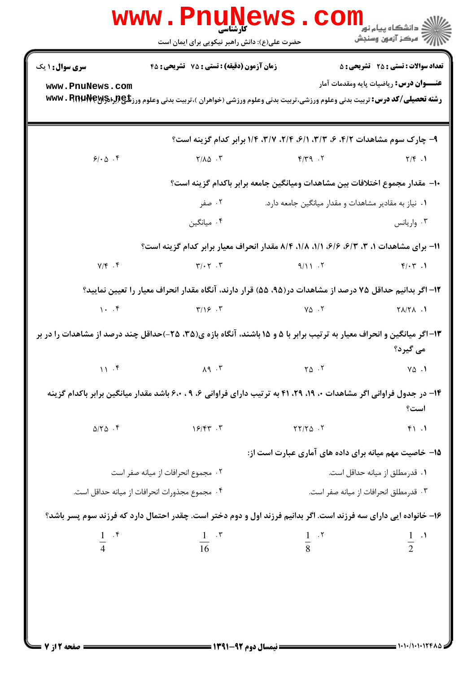|                                                                                                                              | $\textbf{www. PnuM\_N} \textbf{ews. com}$<br>حضرت علی(ع): دانش راهبر نیکویی برای ایمان است                                             |                                                                                 | رآب مرکز آزمون وسنجش                           |  |
|------------------------------------------------------------------------------------------------------------------------------|----------------------------------------------------------------------------------------------------------------------------------------|---------------------------------------------------------------------------------|------------------------------------------------|--|
| <b>سری سوال :</b> ۱ یک                                                                                                       | زمان آزمون (دقیقه) : تستی : 75 - تشریحی : 45                                                                                           |                                                                                 | <b>تعداد سوالات : تستی : 25 - تشریحی : 5</b>   |  |
| www.PnuNews.com                                                                                                              | <b>رشته تحصیلی/کد درس:</b> تربیت بدنی وعلوم ورزشی،تربیت بدنی وعلوم ورزشی (خواهران )،تربیت بدنی وعلوم ورز <b>تلچ(برادMwv . RnuNey ب</b> |                                                                                 | <b>عنـــوان درس:</b> رياضيات پايه ومقدمات آمار |  |
|                                                                                                                              |                                                                                                                                        | ۹- چارک سوم مشاهدات ۴/۲، ۶، ۳/۳، ۶/۱، ۲/۱، ۲/۲، ۳/۷، ۱/۴، برابر کدام گزینه است؟ |                                                |  |
| 91.0.8                                                                                                                       | $Y/\lambda \Delta$ .                                                                                                                   | $Y/Y$ 9. $Y$                                                                    | $\mathsf{Y}/\mathsf{F}$ .                      |  |
| ∙ا−  مقدار مجموع اختلافات بين مشاهدات وميانگين جامعه برابر باكدام گزينه است؟                                                 |                                                                                                                                        |                                                                                 |                                                |  |
|                                                                                                                              | ۰۲ صفر                                                                                                                                 | ۰۱ نیاز به مقادیر مشاهدات و مقدار میانگین جامعه دارد.                           |                                                |  |
|                                                                                                                              | ۰۴ میانگین                                                                                                                             |                                                                                 | ۰۳ واریانس                                     |  |
|                                                                                                                              | ۱۱- برای مشاهدات ۱، ۳، ۶/۳، ۶/۶، ۱/۱، ۱/۸، ۵/۴ مقدار انحراف معیار برابر کدام گزینه است؟                                                |                                                                                 |                                                |  |
| $Y/\mathfrak{f}$ . $\mathfrak{f}$                                                                                            | $\mathbf{Y}/\cdot\mathbf{Y}$ . $\mathbf{Y}$                                                                                            | $9/11.7$ $9/11.7$                                                               |                                                |  |
|                                                                                                                              | ۱۲– اگر بدانیم حداقل ۷۵ درصد از مشاهدات در(۹۵، ۵۵) قرار دارند، آنگاه مقدار انحراف معیار را تعیین نمایید؟                               |                                                                                 |                                                |  |
|                                                                                                                              | $\gamma \cdot \cdot \cdot$ $\zeta$ $\gamma/\gamma$ $\zeta$ $\zeta$                                                                     | $\gamma_{\Delta}$ . T                                                           | $\mathsf{Y}\wedge\mathsf{Y}\wedge\ldots\wedge$ |  |
|                                                                                                                              | ۱۳–اگر میانگین و انحراف معیار به ترتیب برابر با ۵ و ۱۵ باشند، آنگاه بازه ی(۳۵، ۲۵–)حداقل چند درصد از مشاهدات را در بر                  |                                                                                 | می گیرد؟                                       |  |
| $\mathbf{11} \cdot \mathbf{5}$                                                                                               | $\mathcal{M}$ $\mathcal{M}$                                                                                                            | $\mathsf{Y}\wedge\mathsf{Y}$                                                    | $V\Delta$ .)                                   |  |
| ۱۴- در جدول فراوانی اگر مشاهدات ۰، ۱۹، ۲۹، ۲۹ به ترتیب دارای فراوانی ۶، ۶، ۶۰، باشد مقدار میانگین برابر باکدام گزینه<br>است؟ |                                                                                                                                        |                                                                                 |                                                |  |
| $\Delta/\Upsilon\Delta$ .                                                                                                    | $15/57$ . T                                                                                                                            | $YY/Y\Delta$ .                                                                  | f1.1                                           |  |
|                                                                                                                              |                                                                                                                                        | ۱۵– خاصیت مهم میانه برای داده های آماری عبارت است از:                           |                                                |  |
| ٢.  مجموع انحرافات از ميانه صفر است                                                                                          |                                                                                                                                        |                                                                                 | ۰۱ قدر مطلق از میانه حداقل است.                |  |
|                                                                                                                              | ۰۴ مجموع مجذورات انحرافات از ميانه حداقل است.                                                                                          |                                                                                 | ۰۳ قدرمطلق انحرافات از ميانه صفر است.          |  |
| ۱۶– خانواده ایی دارای سه فرزند است. اگر بدانیم فرزند اول و دوم دختر است. چقدر احتمال دارد که فرزند سوم پسر باشد؟             |                                                                                                                                        |                                                                                 |                                                |  |
| $\frac{1}{4}$ $\cdot$ $\stackrel{\circ}{\cdot}$                                                                              |                                                                                                                                        | $\frac{1}{16}$ . T $\frac{1}{8}$ . T                                            | $\frac{1}{2}$ $\cdot$ <sup>1</sup>             |  |
|                                                                                                                              |                                                                                                                                        |                                                                                 |                                                |  |
|                                                                                                                              |                                                                                                                                        |                                                                                 |                                                |  |
| = صفحه 12: 7                                                                                                                 |                                                                                                                                        |                                                                                 |                                                |  |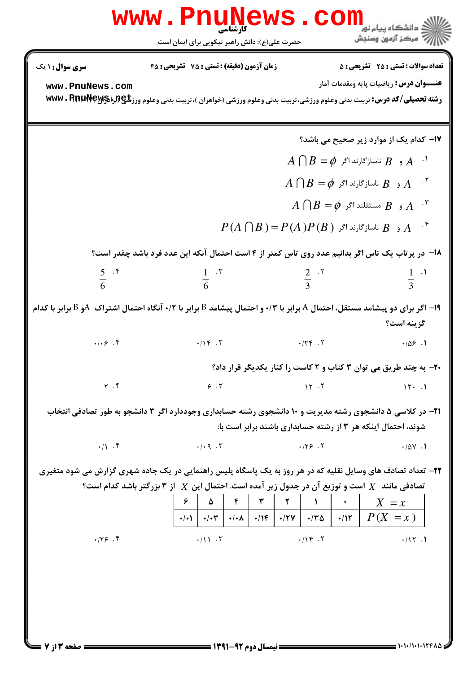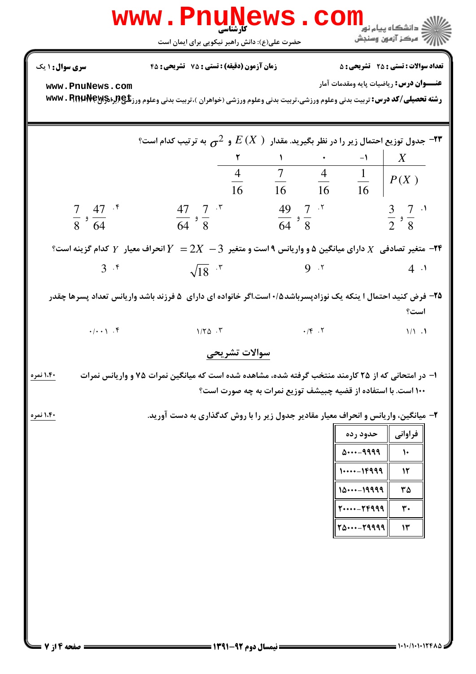|                                                      | www.PnuNews.com<br>حضرت علی(ع): دانش راهبر نیکویی برای ایمان است                                                                                                                                                                                                  |                                                                                                                        | ، دانشگاه پیام نور<br>بَ ۖ مرڪز آزمون وسنڊش                                                                                                                     |
|------------------------------------------------------|-------------------------------------------------------------------------------------------------------------------------------------------------------------------------------------------------------------------------------------------------------------------|------------------------------------------------------------------------------------------------------------------------|-----------------------------------------------------------------------------------------------------------------------------------------------------------------|
| <b>سری سوال :</b> ۱ یک<br>www.PnuNews.com            | <b>زمان آزمون (دقیقه) : تستی : 75 ٪ تشریحی : 45</b><br><b>رشته تحصیلی/کد درس:</b> تربیت بدنی وعلوم ورزشی،تربیت بدنی وعلوم ورزشی (خواهران )،تربیت بدنی وعلوم ورز <b>تلچ(براه www . RnuNeyy</b>                                                                     |                                                                                                                        | <b>تعداد سوالات : تستی : 25 ۔ تشریحی : 5</b><br><b>عنـــوان درس:</b> رياضيات پايه ومقدمات آمار                                                                  |
| $\frac{7}{8}$ , $\frac{47}{64}$ $\cdot$ <sup>6</sup> | مول توزیع احتمال زیر را در نظر بگیرید. مقدار $E\left(X\ \right)$ و $\mathcal{F}_{\mathbf{O}}$ به ترتیب کدام است؟ $^{-\mathsf{Y}\mathsf{F}}$<br>$\frac{47}{64}$ , $\frac{7}{8}$ *                                                                                  | $\mathcal{N}$<br>$\frac{4}{16}$ $\frac{7}{16}$ $\frac{4}{16}$ $\frac{1}{16}$ $P(X)$<br>$\frac{49}{64}$ , $\frac{7}{8}$ | $\boldsymbol{X}$<br>$\frac{3}{2}$ , $\frac{7}{8}$ .                                                                                                             |
| $3 \cdot$                                            | ۳۴ - متغیر تصادفی $X$ دارای میانگین ۵ و واریانس ۹ است و متغیر $2X \, -3$ انحراف معیار $Y$ کدام گزینه است $^{\circ}$<br>$\sqrt{18}$ $\cdot$ $\cdot$<br>۲۵- فرض کنید احتمال ۱ ینکه یک نوزادپسرباشد۱۰/۵ست.اگر خانواده ای دارای ۵ فرزند باشد واریانس تعداد پسرها چقدر | 9.7                                                                                                                    | $4 \cdot$<br>است؟                                                                                                                                               |
| $\cdot/\cdot\cdot$   $\cdot$ $\uparrow$<br>۱،۴۰ نمره | $1/\Upsilon \Delta$ .<br>سوالات تشريحي<br>۱– در امتحانی که از ۲۵ کارمند منتخب گرفته شده، مشاهده شده است که میانگین نمرات ۷۵ و واریانس نمرات                                                                                                                       | $\cdot$ /f $\cdot$ $\cdot$ $\cdot$<br>۱۰۰ است. با استفاده از قضیه چبیشف توزیع نمرات به چه صورت است؟                    | $1/1$ .                                                                                                                                                         |
| ۱،۴۰ نمره                                            | ۲- میانگین، واریانس و انحراف معیار مقادیر جدول زیر را با روش کدگذاری به دست آورید.                                                                                                                                                                                |                                                                                                                        | فراوانی  <br>حدود رده<br>09999<br>$\mathcal{L}$<br>$1--16999$<br>$\mathcal{N}$<br>1019999<br>٣۵<br>$1--19999$<br>٣٠<br>$T\Delta \cdots - T9999$<br>$\mathsf{N}$ |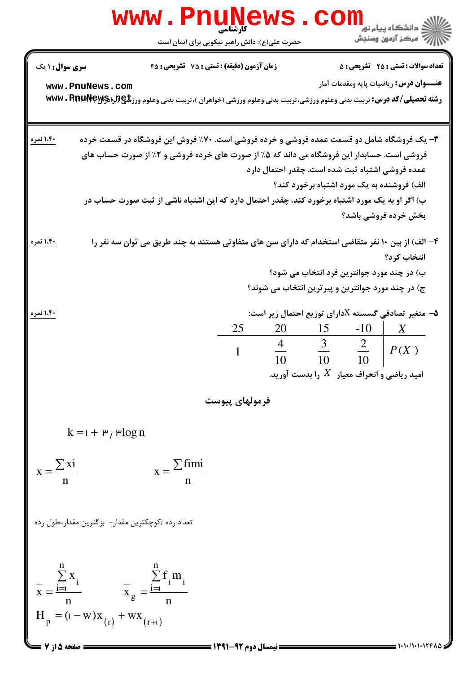| <b>WWW</b>                                                                                                                                             | <mark>ڪ دانشڪاه پيام نور</mark><br>أأأ مركز آزمون وسنجش<br>حضرت علی(ع): دانش راهبر نیکویی برای ایمان است                                                                                                                                                                                                                                                                                                           |
|--------------------------------------------------------------------------------------------------------------------------------------------------------|--------------------------------------------------------------------------------------------------------------------------------------------------------------------------------------------------------------------------------------------------------------------------------------------------------------------------------------------------------------------------------------------------------------------|
| <b>سری سوال : ۱ یک</b><br>www.PnuNews.com                                                                                                              | <b>تعداد سوالات : تستی : 25 ۔ تشریحی : 5</b><br>زمان آزمون (دقیقه) : تستی : 75 ٪ تشریحی : 45<br><b>عنـــوان درس:</b> رياضيات پايه ومقدمات آمار<br><b>رشته تحصیلی/کد درس:</b> تربیت بدنی وعلوم ورزشی،تربیت بدنی وعلوم ورزشی (خواهران )،تربیت بدنی وعلوم ورز <b>تلچ(براهMwv . RnuNey ب</b>                                                                                                                           |
| ۱،۴۰ نمره                                                                                                                                              | ۳- یک فروشگاه شامل دو قسمت عمده فروشی و خرده فروشی است. ۷۰٪ فروش این فروشگاه در قسمت خرده<br>فروشی است. حسابدار این فروشگاه می داند که ۵٪ از صورت های خرده فروشی و ۲٪ از صورت حساب های<br>عمده فروشی اشتباه ثبت شده است. چقدر احتمال دارد<br>الف) فروشنده به یک مورد اشتباه برخورد کند؟<br>ب) اگر او به یک مورد اشتباه برخورد کند، چقدر احتمال دارد که این اشتباه ناشی از ثبت صورت حساب در<br>بخش خرده فروشي باشد؟ |
| ۱،۴۰ نمره                                                                                                                                              | ۴- الف) از بین ۱۰ نفر متقاضی استخدام که دارای سن های متفاوتی هستند به چند طریق می توان سه نفر را<br>انتخاب كرد؟<br>ب) در چند مورد جوانترین فرد انتخاب می شود؟<br>ج) در چند مورد جوانترین و پیرترین انتخاب می شوند؟                                                                                                                                                                                                 |
| ۱،۴۰ نمره                                                                                                                                              | ه - متغیر تصادفی گسسته ${\rm X}$ دارای توزیع احتمال زیر است: $\bullet$<br>25<br>$20 \t 15 \t -10$<br>X<br>$\frac{4}{10}$ $\frac{3}{10}$ $\frac{2}{10}$<br>P(X)<br>$\mathbf{1}$<br>امید ریاضی و انحراف معیار $\,X\,$ را بدست آورید.                                                                                                                                                                                 |
|                                                                                                                                                        | فرمولهای پیوست                                                                                                                                                                                                                                                                                                                                                                                                     |
| $k = 1 + r$ , rlog n<br>$\overline{x} = \frac{\sum x_i}{\sum x_i}$<br>$\overline{x} = \frac{\sum \text{fimi}}{x}$                                      |                                                                                                                                                                                                                                                                                                                                                                                                                    |
| تعداد رده اکوچکترین مقدار - بزگترین مقدار=طول رده<br>$\overline{x} = \frac{\sum_{i=1}^{n} x_i}{n}$ $\overline{x}_g = \frac{\sum_{i=1}^{n} f_i m_i}{n}$ |                                                                                                                                                                                                                                                                                                                                                                                                                    |
| $H_p = (1 - w)x_{(r)} + wx_{(r+1)}$<br>صفحه 5 از 7                                                                                                     | = نیمسال دوم 92-                                                                                                                                                                                                                                                                                                                                                                                                   |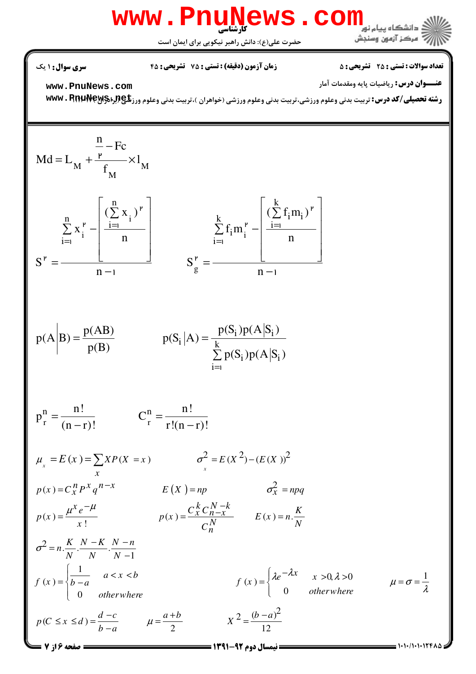

نعداد سوالات : تستي : 25 تشريحي : 58 زمان آزمون (دقيقه) : تستي : 25 تشريحي : 55

**عنــــوان درس:** رياضيات پايه ومقدمات آمار

**[www.PnuNews.com](http://pnunews.com)**

ر**شته تحصیلی/کد درس:** تربیت بدنی وعلوم ورزشی،تربیت بدنی وعلوم ورزشی (خواهران )،تربیت بدنی وعلوم ورز**&**exwv . RnuNew

$$
Md = L_{M} + \frac{\frac{n}{r} - Fc}{f_{M}} \times l_{M}
$$
\n
$$
S^{r} = \frac{\sum_{i=1}^{n} x_{i}^{r} - \left[\frac{(\sum_{i=1}^{n} x_{i})^{r}}{n}\right]}{n - 1} \qquad S^{r} = \frac{\sum_{i=1}^{k} f_{i} m_{i}^{r} - \left[\frac{(\sum_{i=1}^{k} f_{i} m_{i})^{r}}{n}\right]}{n - 1}
$$
\n
$$
P(A|B) = \frac{p(AB)}{p(B)} \qquad P(S_{i}|A) = \frac{p(S_{i})p(A|S_{i})}{\sum_{i=1}^{k} p(S_{i})p(A|S_{i})}
$$
\n
$$
p_{r}^{n} = \frac{n!}{(n - r)!} \qquad C_{r}^{n} = \frac{n!}{r!(n - r)!}
$$
\n
$$
\mu_{x} = E(x) = \sum_{x} xP(X = x) \qquad \sigma_{x}^{2} = E(X^{2}) - (E(X))^{2}
$$

 $p(x) = C_x^n P^x q^{n-x}$   $E(X) = np$   $\sigma_X^2 = npq$  $p(x) = \frac{P(x)}{P(x)}$  .  $p(x) = \frac{C_x C_0 - x}{N}$  .  $E(x) = n$ . !  $p(x) = \frac{\mu^x e^{-\mu}}{h}$   $p(x) = \frac{C_x^k C_{n-x}^{N-k}}{N}$   $E(x) = n \cdot \frac{K}{N}$ *x C N N n*  $\mu^x e^{-\mu}$   $C_x^k C_{n-x}^{N-x}$  $=\frac{\mu^{r}e^{-\mu}}{r}$   $p(x)=\frac{C_{x}C_{n-x}^{r}}{r}$   $E(x)=$ 

$$
\sigma^{2} = n \cdot \frac{K}{N} \cdot \frac{N - K}{N} \cdot \frac{N - n}{N - 1}
$$
\n
$$
f(x) = \begin{cases}\n\frac{1}{b - a} & a < x < b \\
0 & otherwise\n\end{cases}
$$
\n
$$
f(x) = \begin{cases}\n\lambda e^{-\lambda x} & x > 0, \lambda > 0 \\
0 & otherwise\n\end{cases}
$$
\n
$$
\mu = \sigma = \frac{1}{\lambda}
$$
\n
$$
p(C \le x \le d) = \frac{d - c}{b - a}
$$
\n
$$
\mu = \frac{a + b}{2}
$$
\n
$$
X^{2} = \frac{(b - a)^{2}}{12}
$$